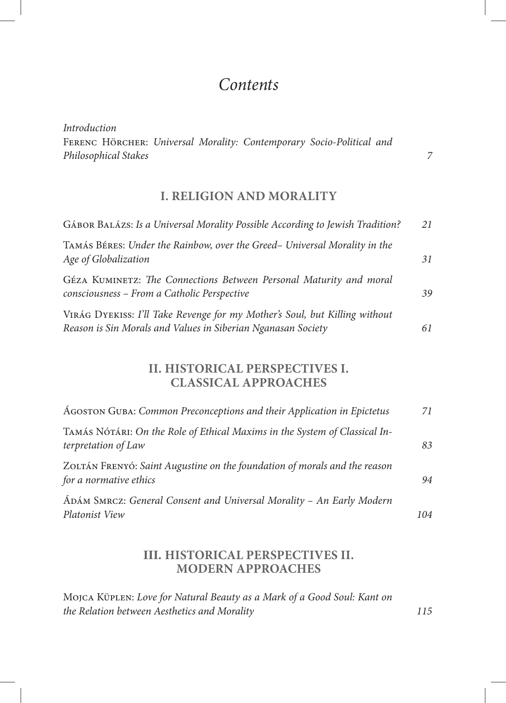# *Contents*

*Introduction* Ferenc Hörcher: *Universal Morality: Contemporary Socio-Political and Philosophical Stakes 7*

## **I. RELIGION AND MORALITY**

| GÁBOR BALÁZS: Is a Universal Morality Possible According to Jewish Tradition?                                                              | 21 |
|--------------------------------------------------------------------------------------------------------------------------------------------|----|
| TAMÁS BÉRES: Under the Rainbow, over the Greed- Universal Morality in the<br>Age of Globalization                                          | 31 |
| GÉZA KUMINETZ: The Connections Between Personal Maturity and moral<br>consciousness - From a Catholic Perspective                          | 39 |
| VIRÁG DYEKISS: I'll Take Revenge for my Mother's Soul, but Killing without<br>Reason is Sin Morals and Values in Siberian Nganasan Society | 61 |

## **II. HISTORICAL PERSPECTIVES I. CLASSICAL APPROACHES**

| AGOSTON GUBA: Common Preconceptions and their Application in Epictetus                              | 71  |
|-----------------------------------------------------------------------------------------------------|-----|
| TAMÁS NÓTÁRI: On the Role of Ethical Maxims in the System of Classical In-<br>terpretation of Law   | 83  |
| ZOLTÁN FRENYÓ: Saint Augustine on the foundation of morals and the reason<br>for a normative ethics | 94  |
| ÁDÁM SMRCZ: General Consent and Universal Morality - An Early Modern<br>Platonist View              | 104 |

#### **III. HISTORICAL PERSPECTIVES II. MODERN APPROACHES**

Mojca Küplen: *Love for Natural Beauty as a Mark of a Good Soul: Kant on the Relation between Aesthetics and Morality 115*